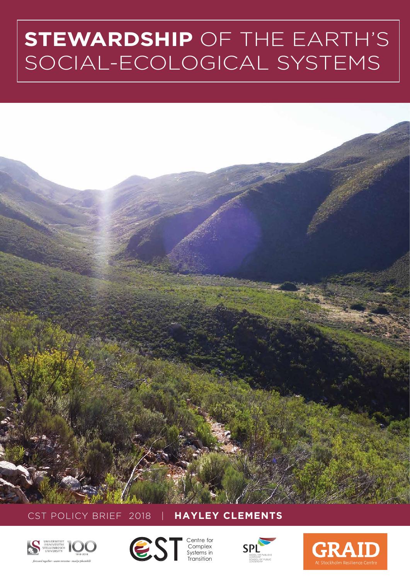# **STEWARDSHIP** OF THE EARTH'S SOCIAL-ECOLOGICAL SYSTEMS



CST POLICY BRIEF 2018 | **HAYLEY CLEMENTS**





**Complex** Systems in Transition



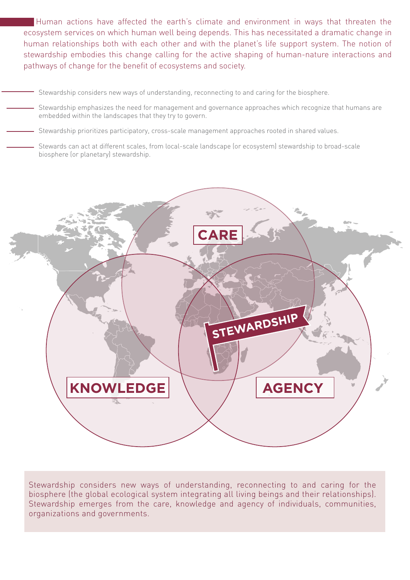Human actions have affected the earth's climate and environment in ways that threaten the ecosystem services on which human well being depends. This has necessitated a dramatic change in human relationships both with each other and with the planet's life support system. The notion of stewardship embodies this change calling for the active shaping of human-nature interactions and pathways of change for the benefit of ecosystems and society.

- Stewardship considers new ways of understanding, reconnecting to and caring for the biosphere.
- Stewardship emphasizes the need for management and governance approaches which recognize that humans are embedded within the landscapes that they try to govern.
- Stewardship prioritizes participatory, cross-scale management approaches rooted in shared values.
	- Stewards can act at different scales, from local-scale landscape (or ecosystem) stewardship to broad-scale biosphere (or planetary) stewardship.



Stewardship considers new ways of understanding, reconnecting to and caring for the biosphere (the global ecological system integrating all living beings and their relationships). Stewardship emerges from the care, knowledge and agency of individuals, communities, organizations and governments.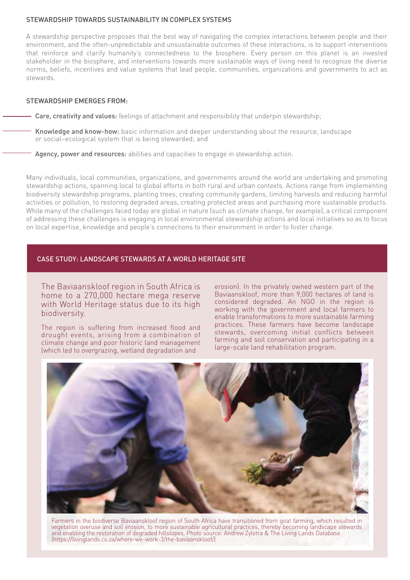# STEWARDSHIP TOWARDS SUSTAINABILITY IN COMPLEX SYSTEMS

A stewardship perspective proposes that the best way of navigating the complex interactions between people and their environment, and the often-unpredictable and unsustainable outcomes of these interactions, is to support interventions that reinforce and clarify humanity's connectedness to the biosphere. Every person on this planet is an invested stakeholder in the biosphere, and interventions towards more sustainable ways of living need to recognize the diverse norms, beliefs, incentives and value systems that lead people, communities, organizations and governments to act as stewards.

# STEWARDSHIP EMERGES FROM:

- Care, creativity and values: feelings of attachment and responsibility that underpin stewardship;

Knowledge and know-how: basic information and deeper understanding about the resource, landscape or social–ecological system that is being stewarded; and

Agency, power and resources: abilities and capacities to engage in stewardship action.

Many individuals, local communities, organizations, and governments around the world are undertaking and promoting stewardship actions, spanning local to global efforts in both rural and urban contexts. Actions range from implementing biodiversity stewardship programs, planting trees, creating community gardens, limiting harvests and reducing harmful activities or pollution, to restoring degraded areas, creating protected areas and purchasing more sustainable products. While many of the challenges faced today are global in nature (such as climate change, for example), a critical component of addressing these challenges is engaging in local environmental stewardship actions and local initiatives so as to focus on local expertise, knowledge and people's connections to their environment in order to foster change.

# CASE STUDY: LANDSCAPE STEWARDS AT A WORLD HERITAGE SITE

The Baviaanskloof region in South Africa is home to a 270,000 hectare mega reserve with World Heritage status due to its high biodiversity.

The region is suffering from increased flood and drought events, arising from a combination of climate change and poor historic land management (which led to overgrazing, wetland degradation and

erosion). In the privately owned western part of the Baviaanskloof, more than 9,000 hectares of land is considered degraded. An NGO in the region is working with the government and local farmers to enable transformations to more sustainable farming practices. These farmers have become landscape stewards, overcoming initial conflicts between farming and soil conservation and participating in a large-scale land rehabilitation program.



Farmers in the biodiverse Baviaanskloof region of South Africa have transitioned from goat farming, which resulted in vegetation overuse and soil erosion, to more sustainable agricultural practices, thereby becoming landscape stewards and enabling the restoration of degraded hillslopes. Photo source: Andrew Zylstra & The Living Lands Database (https://livinglands.co.za/where-we-work-3/the-baviaanskloof/)